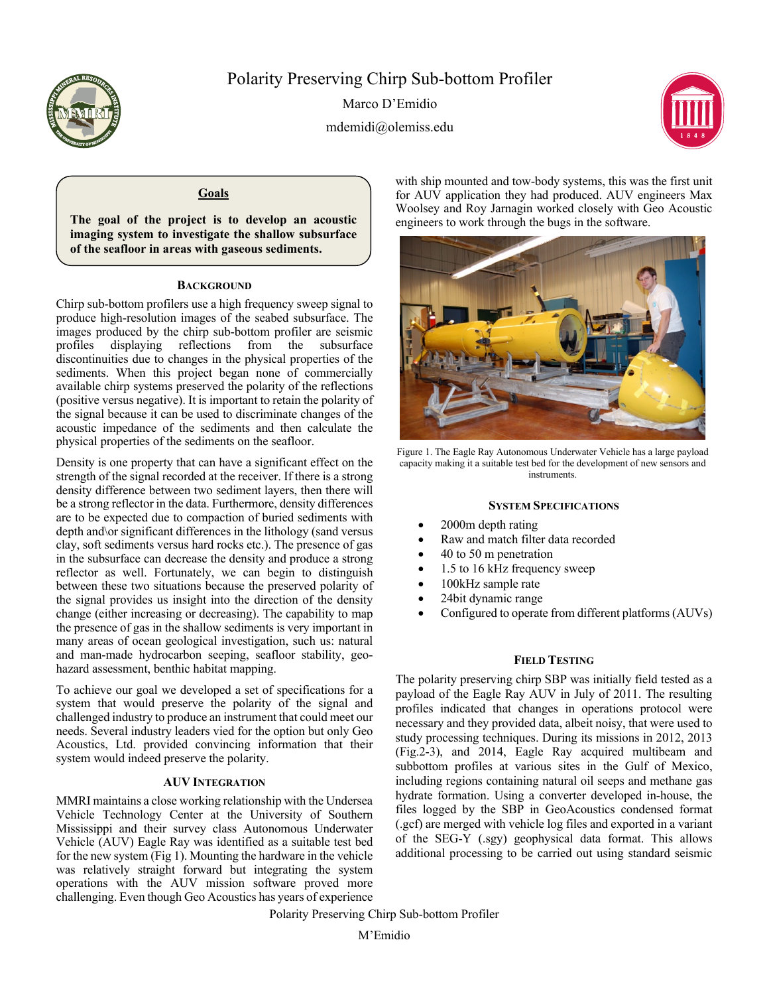

# Polarity Preserving Chirp Sub-bottom Profiler

Marco D'Emidio mdemidi@olemiss.edu



## **Goals**

**The goal of the project is to develop an acoustic imaging system to investigate the shallow subsurface of the seafloor in areas with gaseous sediments.** 

### **BACKGROUND**

Chirp sub-bottom profilers use a high frequency sweep signal to produce high-resolution images of the seabed subsurface. The images produced by the chirp sub-bottom profiler are seismic<br>profiles displaying reflections from the subsurface profiles displaying reflections from the subsurface discontinuities due to changes in the physical properties of the sediments. When this project began none of commercially available chirp systems preserved the polarity of the reflections (positive versus negative). It is important to retain the polarity of the signal because it can be used to discriminate changes of the acoustic impedance of the sediments and then calculate the physical properties of the sediments on the seafloor.

Density is one property that can have a significant effect on the strength of the signal recorded at the receiver. If there is a strong density difference between two sediment layers, then there will be a strong reflector in the data. Furthermore, density differences are to be expected due to compaction of buried sediments with depth and\or significant differences in the lithology (sand versus clay, soft sediments versus hard rocks etc.). The presence of gas in the subsurface can decrease the density and produce a strong reflector as well. Fortunately, we can begin to distinguish between these two situations because the preserved polarity of the signal provides us insight into the direction of the density change (either increasing or decreasing). The capability to map the presence of gas in the shallow sediments is very important in many areas of ocean geological investigation, such us: natural and man-made hydrocarbon seeping, seafloor stability, geohazard assessment, benthic habitat mapping.

To achieve our goal we developed a set of specifications for a system that would preserve the polarity of the signal and challenged industry to produce an instrument that could meet our needs. Several industry leaders vied for the option but only Geo Acoustics, Ltd. provided convincing information that their system would indeed preserve the polarity.

### **AUV INTEGRATION**

MMRI maintains a close working relationship with the Undersea Vehicle Technology Center at the University of Southern Mississippi and their survey class Autonomous Underwater Vehicle (AUV) Eagle Ray was identified as a suitable test bed for the new system (Fig 1). Mounting the hardware in the vehicle was relatively straight forward but integrating the system operations with the AUV mission software proved more challenging. Even though Geo Acoustics has years of experience

with ship mounted and tow-body systems, this was the first unit for AUV application they had produced. AUV engineers Max Woolsey and Roy Jarnagin worked closely with Geo Acoustic engineers to work through the bugs in the software.



Figure 1. The Eagle Ray Autonomous Underwater Vehicle has a large payload capacity making it a suitable test bed for the development of new sensors and instruments.

#### **SYSTEM SPECIFICATIONS**

- 2000m depth rating
- Raw and match filter data recorded
- 40 to 50 m penetration
- 1.5 to 16 kHz frequency sweep
- 100kHz sample rate
- 24bit dynamic range
- Configured to operate from different platforms (AUVs)

### **FIELD TESTING**

The polarity preserving chirp SBP was initially field tested as a payload of the Eagle Ray AUV in July of 2011. The resulting profiles indicated that changes in operations protocol were necessary and they provided data, albeit noisy, that were used to study processing techniques. During its missions in 2012, 2013 (Fig.2-3), and 2014, Eagle Ray acquired multibeam and subbottom profiles at various sites in the Gulf of Mexico, including regions containing natural oil seeps and methane gas hydrate formation. Using a converter developed in-house, the files logged by the SBP in GeoAcoustics condensed format (.gcf) are merged with vehicle log files and exported in a variant of the SEG-Y (.sgy) geophysical data format. This allows additional processing to be carried out using standard seismic

Polarity Preserving Chirp Sub-bottom Profiler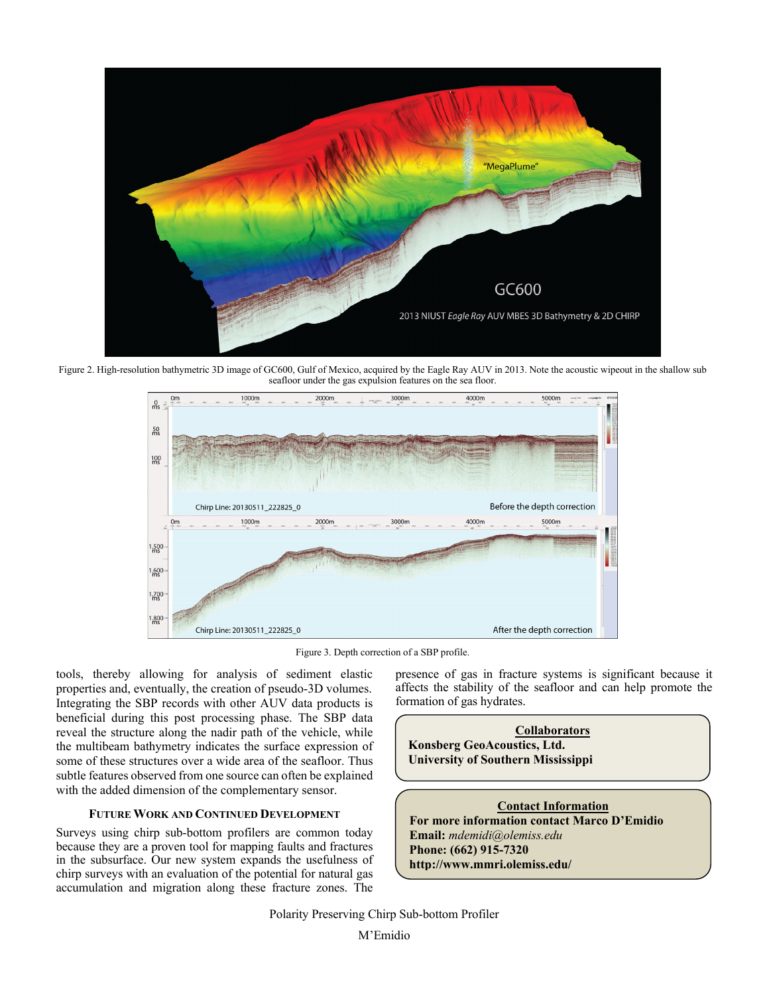

Figure 2. High-resolution bathymetric 3D image of GC600, Gulf of Mexico, acquired by the Eagle Ray AUV in 2013. Note the acoustic wipeout in the shallow sub seafloor under the gas expulsion features on the sea floor.



Figure 3. Depth correction of a SBP profile.

tools, thereby allowing for analysis of sediment elastic properties and, eventually, the creation of pseudo-3D volumes. Integrating the SBP records with other AUV data products is beneficial during this post processing phase. The SBP data reveal the structure along the nadir path of the vehicle, while the multibeam bathymetry indicates the surface expression of some of these structures over a wide area of the seafloor. Thus subtle features observed from one source can often be explained with the added dimension of the complementary sensor.

### **FUTURE WORK AND CONTINUED DEVELOPMENT**

Surveys using chirp sub-bottom profilers are common today because they are a proven tool for mapping faults and fractures in the subsurface. Our new system expands the usefulness of chirp surveys with an evaluation of the potential for natural gas accumulation and migration along these fracture zones. The

presence of gas in fracture systems is significant because it affects the stability of the seafloor and can help promote the formation of gas hydrates.

**Collaborators Konsberg GeoAcoustics, Ltd. University of Southern Mississippi** 

**Contact Information For more information contact Marco D'Emidio Email:** *mdemidi@olemiss.edu* **Phone: (662) 915-7320 http://www.mmri.olemiss.edu/**